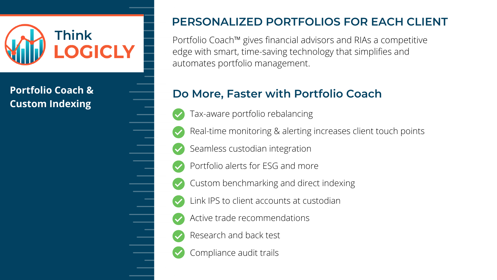Portfolio Coach™️ gives financial advisors and RIAs a competitive edge with smart, time-saving technology that simplifies and automates portfolio management.



# **PERSONALIZED PORTFOLIOS FOR EACH CLIENT**

Tax-aware portfolio rebalancing Real-time monitoring & alerting increases client touch points Seamless custodian integration Portfolio alerts for ESG and more Custom benchmarking and direct indexing Link IPS to client accounts at custodian Active trade recommendations Research and back test Compliance audit trails

## **Do More, Faster with Portfolio Coach**

## **Portfolio Coach & Custom Indexing**